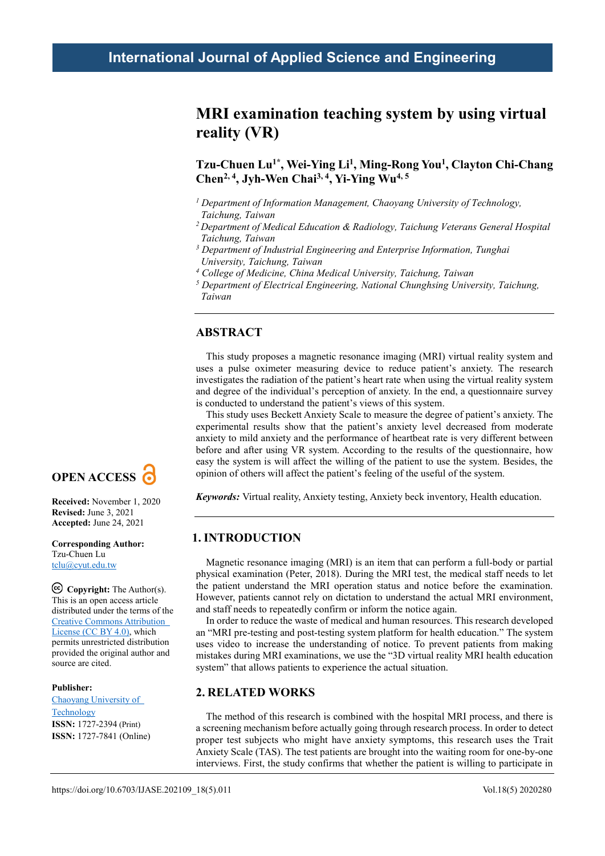# **MRI examination teaching system by using virtual reality (VR)**

## **Tzu-Chuen Lu1\*, Wei-Ying Li1, Ming-Rong You1, Clayton Chi-Chang Chen2, 4, Jyh-Wen Chai3, 4, Yi-Ying Wu4, 5**

- *<sup>1</sup> Department of Information Management, Chaoyang University of Technology, Taichung, Taiwan*
- *2 Department of Medical Education & Radiology, Taichung Veterans General Hospital Taichung, Taiwan*
- *<sup>3</sup> Department of Industrial Engineering and Enterprise Information, Tunghai University, Taichung, Taiwan*
- *<sup>4</sup> College of Medicine, China Medical University, Taichung, Taiwan*
- *<sup>5</sup> Department of Electrical Engineering, National Chunghsing University, Taichung, Taiwan*

## **ABSTRACT**

This study proposes a magnetic resonance imaging (MRI) virtual reality system and uses a pulse oximeter measuring device to reduce patient's anxiety. The research investigates the radiation of the patient's heart rate when using the virtual reality system and degree of the individual's perception of anxiety. In the end, a questionnaire survey is conducted to understand the patient's views of this system.

This study uses Beckett Anxiety Scale to measure the degree of patient's anxiety. The experimental results show that the patient's anxiety level decreased from moderate anxiety to mild anxiety and the performance of heartbeat rate is very different between before and after using VR system. According to the results of the questionnaire, how easy the system is will affect the willing of the patient to use the system. Besides, the opinion of others will affect the patient's feeling of the useful of the system.

*Keywords:* Virtual reality, Anxiety testing, Anxiety beck inventory, Health education.

## **1. INTRODUCTION**

Magnetic resonance imaging (MRI) is an item that can perform a full-body or partial physical examination (Peter, 2018). During the MRI test, the medical staff needs to let the patient understand the MRI operation status and notice before the examination. However, patients cannot rely on dictation to understand the actual MRI environment, and staff needs to repeatedly confirm or inform the notice again.

In order to reduce the waste of medical and human resources. This research developed an "MRI pre-testing and post-testing system platform for health education." The system uses video to increase the understanding of notice. To prevent patients from making mistakes during MRI examinations, we use the "3D virtual reality MRI health education system" that allows patients to experience the actual situation.

## **2. RELATED WORKS**

The method of this research is combined with the hospital MRI process, and there is a screening mechanism before actually going through research process. In order to detect proper test subjects who might have anxiety symptoms, this research uses the Trait Anxiety Scale (TAS). The test patients are brought into the waiting room for one-by-one interviews. First, the study confirms that whether the patient is willing to participate in



**Received:** November 1, 2020 **Revised:** June 3, 2021 **Accepted:** June 24, 2021

**Corresponding Author:** Tzu-Chuen Lu [tclu@cyut.edu.tw](mailto:tclu@cyut.edu.tw)

**Copyright:** The Author(s). This is an open access article distributed under the terms of the [Creative Commons Attribution](https://creativecommons.org/licenses/by/4.0/deed.ast)  [License \(CC BY 4.0\),](https://creativecommons.org/licenses/by/4.0/deed.ast) which permits unrestricted distribution provided the original author and source are cited.

### **Publisher:**

[Chaoyang University of](http://web.cyut.edu.tw/index.php?Lang=en)  **[Technology](http://web.cyut.edu.tw/index.php?Lang=en) ISSN:** 1727-2394 (Print) **ISSN:** 1727-7841 (Online)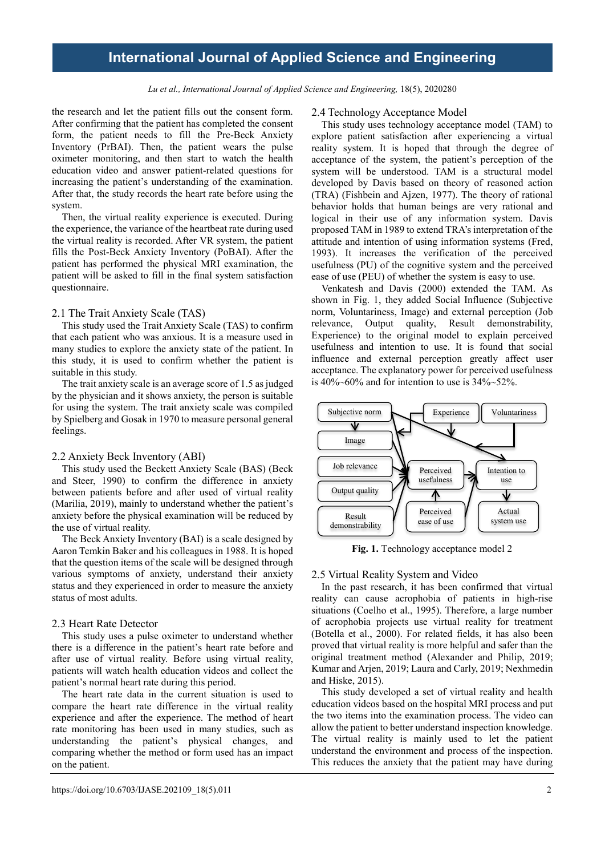#### Lu et al., International Journal of Applied Science and Engineering, 18(5), 2020280

the research and let the patient fills out the consent form. After confirming that the patient has completed the consent form, the patient needs to fill the Pre-Beck Anxiety Inventory (PrBAI). Then, the patient wears the pulse oximeter monitoring, and then start to watch the health education video and answer patient-related questions for increasing the patient's understanding of the examination. After that, the study records the heart rate before using the system.

Then, the virtual reality experience is executed. During the experience, the variance of the heartbeat rate during used the virtual reality is recorded. After VR system, the patient fills the Post-Beck Anxiety Inventory (PoBAI). After the patient has performed the physical MRI examination, the patient will be asked to fill in the final system satisfaction questionnaire.

#### 2.1 The Trait Anxiety Scale (TAS)

This study used the Trait Anxiety Scale (TAS) to confirm that each patient who was anxious. It is a measure used in many studies to explore the anxiety state of the patient. In this study, it is used to confirm whether the patient is suitable in this study.

The trait anxiety scale is an average score of 1.5 as judged by the physician and it shows anxiety, the person is suitable for using the system. The trait anxiety scale was compiled by Spielberg and Gosak in 1970 to measure personal general feelings.

#### 2.2 Anxiety Beck Inventory (ABI)

This study used the Beckett Anxiety Scale (BAS) (Beck and Steer, 1990) to confirm the difference in anxiety between patients before and after used of virtual reality (Marilia, 2019), mainly to understand whether the patient's anxiety before the physical examination will be reduced by the use of virtual reality.

The Beck Anxiety Inventory (BAI) is a scale designed by Aaron Temkin Baker and his colleagues in 1988. It is hoped that the question items of the scale will be designed through various symptoms of anxiety, understand their anxiety status and they experienced in order to measure the anxiety status of most adults.

#### 2.3 Heart Rate Detector

This study uses a pulse oximeter to understand whether there is a difference in the patient's heart rate before and after use of virtual reality. Before using virtual reality, patients will watch health education videos and collect the patient's normal heart rate during this period.

The heart rate data in the current situation is used to compare the heart rate difference in the virtual reality experience and after the experience. The method of heart rate monitoring has been used in many studies, such as understanding the patient's physical changes, and comparing whether the method or form used has an impact on the patient.

### 2.4 Technology Acceptance Model

This study uses technology acceptance model (TAM) to explore patient satisfaction after experiencing a virtual reality system. It is hoped that through the degree of acceptance of the system, the patient's perception of the system will be understood. TAM is a structural model developed by Davis based on theory of reasoned action (TRA) (Fishbein and Ajzen, 1977). The theory of rational behavior holds that human beings are very rational and logical in their use of any information system. Davis proposed TAM in 1989 to extend TRA's interpretation of the attitude and intention of using information systems (Fred, 1993). It increases the verification of the perceived usefulness (PU) of the cognitive system and the perceived ease of use (PEU) of whether the system is easy to use.

Venkatesh and Davis (2000) extended the TAM. As shown in Fig. 1, they added Social Influence (Subjective norm, Voluntariness, Image) and external perception (Job relevance, Output quality, Result demonstrability, Experience) to the original model to explain perceived usefulness and intention to use. It is found that social influence and external perception greatly affect user acceptance. The explanatory power for perceived usefulness is  $40\%~60\%$  and for intention to use is  $34\%~52\%$ .



Fig. 1. Technology acceptance model 2

### 2.5 Virtual Reality System and Video

In the past research, it has been confirmed that virtual reality can cause acrophobia of patients in high-rise situations (Coelho et al., 1995). Therefore, a large number of acrophobia projects use virtual reality for treatment (Botella et al., 2000). For related fields, it has also been proved that virtual reality is more helpful and safer than the original treatment method (Alexander and Philip, 2019; Kumar and Arjen, 2019; Laura and Carly, 2019; Nexhmedin and Hiske, 2015).

This study developed a set of virtual reality and health education videos based on the hospital MRI process and put the two items into the examination process. The video can allow the patient to better understand inspection knowledge. The virtual reality is mainly used to let the patient understand the environment and process of the inspection. This reduces the anxiety that the patient may have during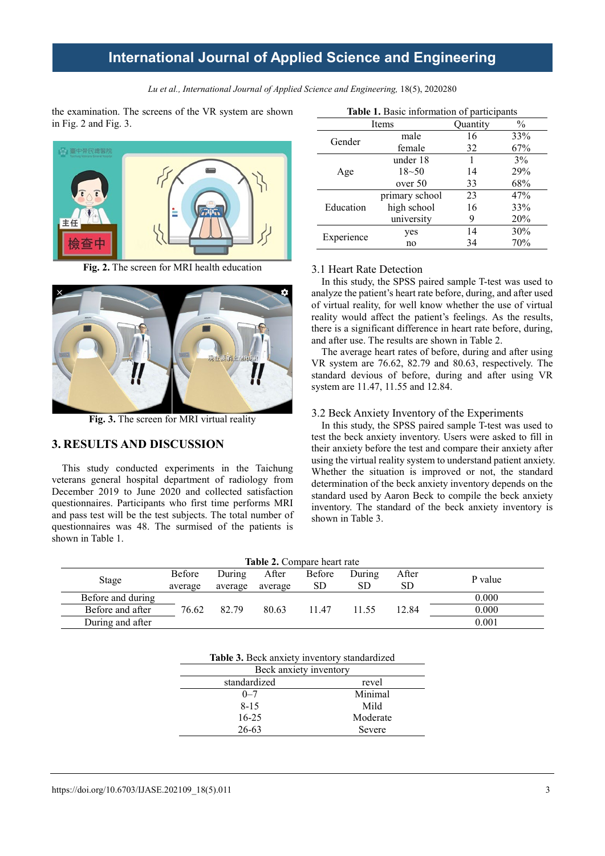Lu et al., International Journal of Applied Science and Engineering, 18(5), 2020280

the examination. The screens of the VR system are shown in Fig. 2 and Fig. 3.



**Fig. 2.** The screen for MRI health education



**Fig. 3.** The screen for MRI virtual reality

## **3. RESULTS AND DISCUSSION**

This study conducted experiments in the Taichung veterans general hospital department of radiology from December 2019 to June 2020 and collected satisfaction questionnaires. Participants who first time performs MRI and pass test will be the test subjects. The total number of questionnaires was 48. The surmised of the patients is shown in Table 1.

| Table 1. Basic information of participants |                |          |               |  |
|--------------------------------------------|----------------|----------|---------------|--|
|                                            | Items          | Quantity | $\frac{0}{0}$ |  |
| Gender                                     | male           | 16       | 33%           |  |
|                                            | female         | 32       | 67%           |  |
|                                            | under 18       |          | $3\%$         |  |
| Age                                        | $18 - 50$      | 14       | 29%           |  |
|                                            | over 50        | 33       | 68%           |  |
|                                            | primary school | 23       | 47%           |  |
| Education                                  | high school    | 16       | 33%           |  |
|                                            | university     | 9        | 20%           |  |
| Experience                                 | yes            | 14       | 30%           |  |
|                                            | no             | 34       | 70%           |  |

### 3.1 Heart Rate Detection

In this study, the SPSS paired sample T-test was used to analyze the patient's heart rate before, during, and after used of virtual reality, for well know whether the use of virtual reality would affect the patient's feelings. As the results, there is a significant difference in heart rate before, during, and after use. The results are shown in Table 2.

The average heart rates of before, during and after using VR system are 76.62, 82.79 and 80.63, respectively. The standard devious of before, during and after using VR system are 11.47, 11.55 and 12.84.

### 3.2 Beck Anxiety Inventory of the Experiments

In this study, the SPSS paired sample T-test was used to test the beck anxiety inventory. Users were asked to fill in their anxiety before the test and compare their anxiety after using the virtual reality system to understand patient anxiety. Whether the situation is improved or not, the standard determination of the beck anxiety inventory depends on the standard used by Aaron Beck to compile the beck anxiety inventory. The standard of the beck anxiety inventory is shown in Table 3.

| <b>Table 2.</b> Compare heart rate |         |         |         |        |        |       |         |
|------------------------------------|---------|---------|---------|--------|--------|-------|---------|
|                                    | Before  | During  | After   | Before | During | After | P value |
| Stage                              | average | average | average | SD.    | SD     | SD    |         |
| Before and during                  |         |         |         |        |        |       | 0.000   |
| Before and after                   | 76.62   | 82.79   | 80.63   | 11.47  | 11.55  | 12.84 | 0.000   |
| During and after                   |         |         |         |        |        |       | 0.001   |

|  | <b>Table 3.</b> Beck anxiety inventory standardized |
|--|-----------------------------------------------------|
|  |                                                     |

| Beck anxiety inventory |          |  |  |  |
|------------------------|----------|--|--|--|
| standardized           | revel    |  |  |  |
| $0 - 7$                | Minimal  |  |  |  |
| $8 - 15$               | Mild     |  |  |  |
| $16 - 25$              | Moderate |  |  |  |
| $26 - 63$              | Severe   |  |  |  |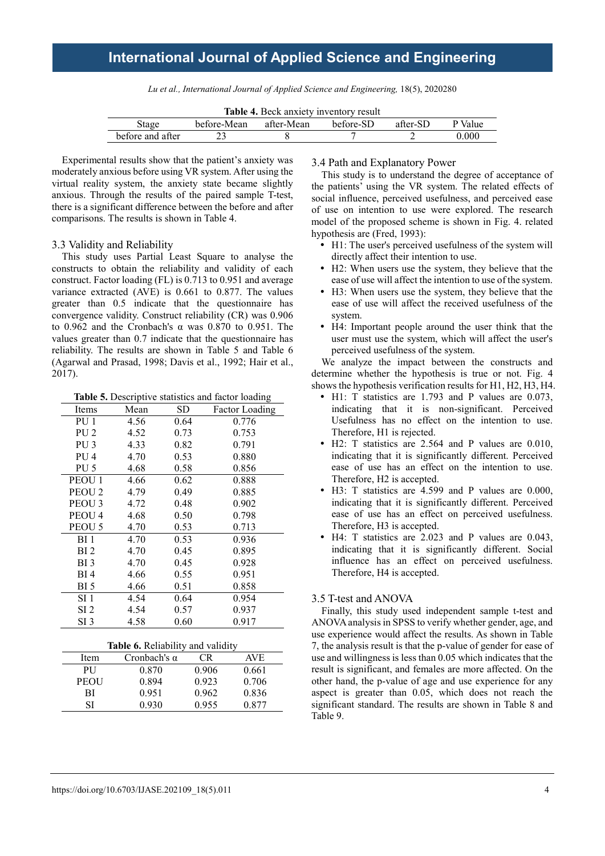Lu et al., International Journal of Applied Science and Engineering, 18(5), 2020280

| <b>Table 4.</b> Beck anxiety inventory result |             |            |           |          |         |
|-----------------------------------------------|-------------|------------|-----------|----------|---------|
| Stage                                         | before-Mean | after-Mean | hefore-SD | after-SD | P Value |
| before and after                              |             |            |           |          | 0.000   |

Experimental results show that the patient's anxiety was moderately anxious before using VR system. After using the virtual reality system, the anxiety state became slightly anxious. Through the results of the paired sample T-test, there is a significant difference between the before and after comparisons. The results is shown in Table 4.

#### 3.3 Validity and Reliability

This study uses Partial Least Square to analyse the constructs to obtain the reliability and validity of each construct. Factor loading (FL) is 0.713 to 0.951 and average variance extracted (AVE) is 0.661 to 0.877. The values greater than 0.5 indicate that the questionnaire has convergence validity. Construct reliability (CR) was 0.906 to 0.962 and the Cronbach's α was 0.870 to 0.951. The values greater than 0.7 indicate that the questionnaire has reliability. The results are shown in Table 5 and Table 6 (Agarwal and Prasad, 1998; Davis et al., 1992; Hair et al., 2017).

**Table 5.** Descriptive statistics and factor loading

| <b>Items</b>      | Mean | SD   | <b>Factor Loading</b> |
|-------------------|------|------|-----------------------|
| PU 1              | 4.56 | 0.64 | 0.776                 |
| PU <sub>2</sub>   | 4.52 | 0.73 | 0.753                 |
| PU <sub>3</sub>   | 4.33 | 0.82 | 0.791                 |
| PU <sub>4</sub>   | 4.70 | 0.53 | 0.880                 |
| PU <sub>5</sub>   | 4.68 | 0.58 | 0.856                 |
| PEOU 1            | 4.66 | 0.62 | 0.888                 |
| PEOU <sub>2</sub> | 4.79 | 0.49 | 0.885                 |
| PEOU <sub>3</sub> | 4.72 | 0.48 | 0.902                 |
| PEOU <sub>4</sub> | 4.68 | 0.50 | 0.798                 |
| PEOU <sub>5</sub> | 4.70 | 0.53 | 0.713                 |
| BI 1              | 4.70 | 0.53 | 0.936                 |
| BI 2              | 4.70 | 0.45 | 0.895                 |
| BI 3              | 4.70 | 0.45 | 0.928                 |
| BI 4              | 4.66 | 0.55 | 0.951                 |
| BI 5              | 4.66 | 0.51 | 0.858                 |
| SI 1              | 4.54 | 0.64 | 0.954                 |
| SI <sub>2</sub>   | 4.54 | 0.57 | 0.937                 |
| SI <sub>3</sub>   | 4.58 | 0.60 | 0.917                 |

| <b>Table 6.</b> Reliability and validity |                     |       |            |  |  |  |
|------------------------------------------|---------------------|-------|------------|--|--|--|
| Item                                     | Cronbach's $\alpha$ | CR.   | <b>AVE</b> |  |  |  |
| <b>PU</b>                                | 0.870               | 0.906 | 0.661      |  |  |  |
| <b>PEOU</b>                              | 0.894               | 0.923 | 0.706      |  |  |  |
| ВI                                       | 0.951               | 0.962 | 0.836      |  |  |  |
| SІ                                       | 0.930               | 0.955 | 0.877      |  |  |  |
|                                          |                     |       |            |  |  |  |

### 3.4 Path and Explanatory Power

This study is to understand the degree of acceptance of the patients' using the VR system. The related effects of social influence, perceived usefulness, and perceived ease of use on intention to use were explored. The research model of the proposed scheme is shown in Fig. 4. related hypothesis are (Fred, 1993):

- H1: The user's perceived usefulness of the system will directly affect their intention to use.
- H2: When users use the system, they believe that the ease of use will affect the intention to use of the system.
- H3: When users use the system, they believe that the ease of use will affect the received usefulness of the system.
- H4: Important people around the user think that the user must use the system, which will affect the user's perceived usefulness of the system.

We analyze the impact between the constructs and determine whether the hypothesis is true or not. Fig. 4 shows the hypothesis verification results for H1, H2, H3, H4.

- H1: T statistics are 1.793 and P values are 0.073, indicating that it is non-significant. Perceived Usefulness has no effect on the intention to use. Therefore, H1 is rejected.
- H2: T statistics are 2.564 and P values are 0.010, indicating that it is significantly different. Perceived ease of use has an effect on the intention to use. Therefore, H2 is accepted.
- H3: T statistics are 4.599 and P values are 0.000, indicating that it is significantly different. Perceived ease of use has an effect on perceived usefulness. Therefore, H3 is accepted.
- H4: T statistics are 2.023 and P values are 0.043, indicating that it is significantly different. Social influence has an effect on perceived usefulness. Therefore, H4 is accepted.

#### 3.5 T-test and ANOVA

Finally, this study used independent sample t-test and ANOVA analysis in SPSS to verify whether gender, age, and use experience would affect the results. As shown in Table 7, the analysis result is that the p-value of gender for ease of use and willingness is less than 0.05 which indicates that the result is significant, and females are more affected. On the other hand, the p-value of age and use experience for any aspect is greater than 0.05, which does not reach the significant standard. The results are shown in Table 8 and Table 9.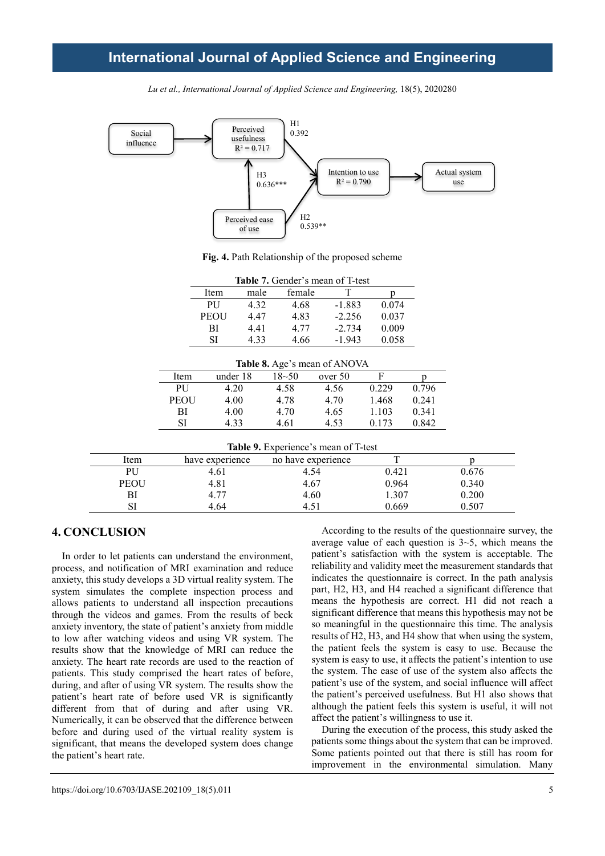

Lu et al., International Journal of Applied Science and Engineering, 18(5), 2020280

**Fig. 4.** Path Relationship of the proposed scheme

| Table 7. Gender's mean of T-test |      |        |          |       |  |  |
|----------------------------------|------|--------|----------|-------|--|--|
| Item                             | male | female |          |       |  |  |
| <b>PU</b>                        | 4.32 | 4.68   | $-1.883$ | 0.074 |  |  |
| <b>PEOU</b>                      | 4.47 | 4.83   | $-2.256$ | 0.037 |  |  |
| ВI                               | 4.41 | 4.77   | $-2.734$ | 0.009 |  |  |
| SI                               | 4.33 | 4.66   | $-1.943$ | 0.058 |  |  |

| Table 8. Age's mean of ANOVA |          |           |         |       |       |  |
|------------------------------|----------|-----------|---------|-------|-------|--|
| Item                         | under 18 | $18 - 50$ | over 50 | F     |       |  |
| <b>PU</b>                    | 4.20     | 4.58      | 4.56    | 0.229 | 0.796 |  |
| <b>PEOU</b>                  | 4.00     | 4.78      | 4.70    | 1.468 | 0.241 |  |
| ВI                           | 4.00     | 4.70      | 4.65    | 1.103 | 0.341 |  |
| SI                           | 4 33     | 4.61      | 4.53    | 0.173 | 0.842 |  |

| Table 9. Experience's mean of T-test |  |
|--------------------------------------|--|
|                                      |  |

| Item        | have experience | no have experience |       |       |
|-------------|-----------------|--------------------|-------|-------|
| PU          | 4.61            | 4.54               | 0.421 | 0.676 |
| <b>PEOU</b> | 4.81            | 4.67               | 0.964 | 0.340 |
| BI          | 4.77            | 4.60               | .307  | 0.200 |
| SI          | 4.64            |                    | 0.669 | .507  |

## **4. CONCLUSION**

In order to let patients can understand the environment, process, and notification of MRI examination and reduce anxiety, this study develops a 3D virtual reality system. The system simulates the complete inspection process and allows patients to understand all inspection precautions through the videos and games. From the results of beck anxiety inventory, the state of patient's anxiety from middle to low after watching videos and using VR system. The results show that the knowledge of MRI can reduce the anxiety. The heart rate records are used to the reaction of patients. This study comprised the heart rates of before, during, and after of using VR system. The results show the patient's heart rate of before used VR is significantly different from that of during and after using VR. Numerically, it can be observed that the difference between before and during used of the virtual reality system is significant, that means the developed system does change the patient's heart rate.

According to the results of the questionnaire survey, the average value of each question is  $3\neg 5$ , which means the patient's satisfaction with the system is acceptable. The reliability and validity meet the measurement standards that indicates the questionnaire is correct. In the path analysis part, H2, H3, and H4 reached a significant difference that means the hypothesis are correct. H1 did not reach a significant difference that means this hypothesis may not be so meaningful in the questionnaire this time. The analysis results of H2, H3, and H4 show that when using the system, the patient feels the system is easy to use. Because the system is easy to use, it affects the patient's intention to use the system. The ease of use of the system also affects the patient's use of the system, and social influence will affect the patient's perceived usefulness. But H1 also shows that although the patient feels this system is useful, it will not affect the patient's willingness to use it.

During the execution of the process, this study asked the patients some things about the system that can be improved. Some patients pointed out that there is still has room for improvement in the environmental simulation. Many